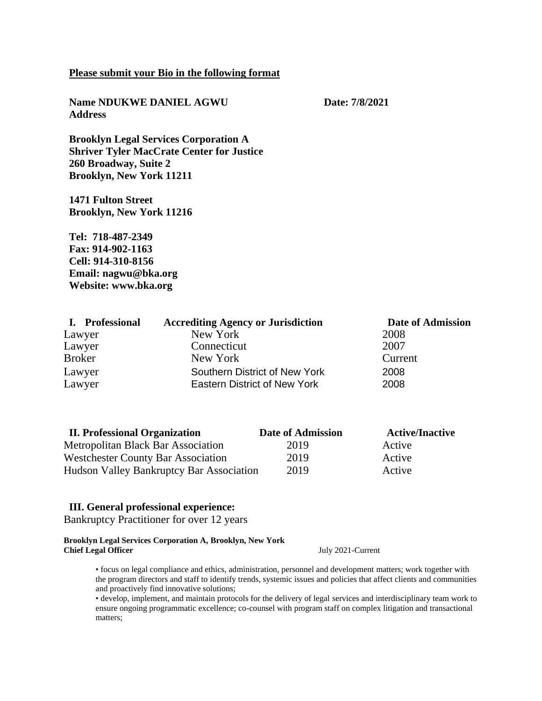#### **Please submit your Bio in the following format**

**Name NDUKWE DANIEL AGWU Date: 7/8/2021 Address**

**Brooklyn Legal Services Corporation A Shriver Tyler MacCrate Center for Justice 260 Broadway, Suite 2 Brooklyn, New York 11211**

**1471 Fulton Street Brooklyn, New York 11216**

**Tel: 718-487-2349 Fax: 914-902-1163 Cell: 914-310-8156 Email: nagwu@bka.org Website: www.bka.org**

| I. Professional | <b>Accrediting Agency or Jurisdiction</b> | Date of Admission |
|-----------------|-------------------------------------------|-------------------|
| Lawyer          | New York                                  | 2008              |
| Lawyer          | Connecticut                               | 2007              |
| <b>Broker</b>   | New York                                  | Current           |
| Lawyer          | Southern District of New York             | 2008              |
| Lawyer          | Eastern District of New York              | 2008              |

| <b>II. Professional Organization</b>            | <b>Date of Admission</b> | <b>Active/Inactive</b> |
|-------------------------------------------------|--------------------------|------------------------|
| <b>Metropolitan Black Bar Association</b>       | 2019                     | Active                 |
| <b>Westchester County Bar Association</b>       | 2019                     | Active                 |
| <b>Hudson Valley Bankruptcy Bar Association</b> | 2019                     | Active                 |

### **III. General professional experience:**

Bankruptcy Practitioner for over 12 years

**Brooklyn Legal Services Corporation A, Brooklyn, New York Chief Legal Officer** July 2021-Current

• focus on legal compliance and ethics, administration, personnel and development matters; work together with the program directors and staff to identify trends, systemic issues and policies that affect clients and communities and proactively find innovative solutions;

• develop, implement, and maintain protocols for the delivery of legal services and interdisciplinary team work to ensure ongoing programmatic excellence; co-counsel with program staff on complex litigation and transactional matters;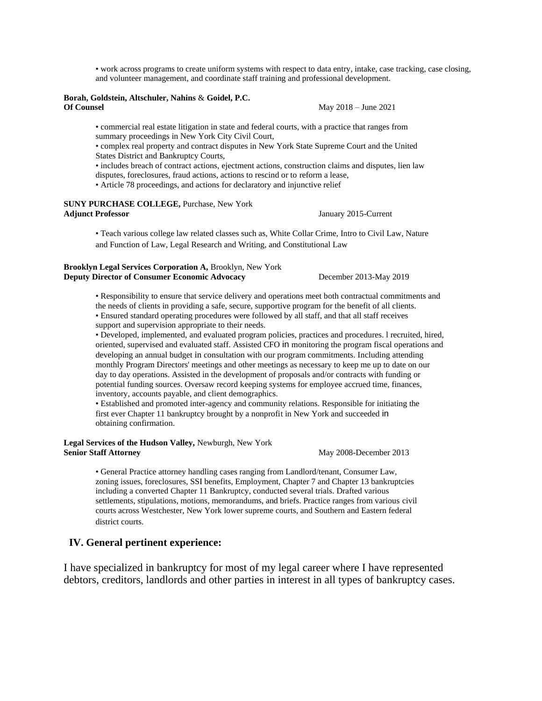• work across programs to create uniform systems with respect to data entry, intake, case tracking, case closing, and volunteer management, and coordinate staff training and professional development.

#### **Borah, Goldstein, Altschuler, Nahins** & **Goidel, P.C. Of Counsel** May 2018 – June 2021

• commercial real estate litigation in state and federal courts, with a practice that ranges from summary proceedings in New York City Civil Court,

• complex real property and contract disputes in New York State Supreme Court and the United States District and Bankruptcy Courts,

• includes breach of contract actions, ejectment actions, construction claims and disputes, lien law

disputes, foreclosures, fraud actions, actions to rescind or to reform a lease,

• Article 78 proceedings, and actions for declaratory and injunctive relief

**SUNY PURCHASE COLLEGE,** Purchase, New York

January 2015-Current

• Teach various college law related classes such as, White Collar Crime, Intro to Civil Law, Nature and Function of Law, Legal Research and Writing, and Constitutional Law

#### **Brooklyn Legal Services Corporation A,** Brooklyn, New York **Deputy Director of Consumer Economic Advocacy** December 2013-May 2019

• Responsibility to ensure that service delivery and operations meet both contractual commitments and the needs of clients in providing a safe, secure, supportive program for the benefit of all clients.

• Ensured standard operating procedures were followed by all staff, and that all staff receives support and supervision appropriate to their needs.

• Developed, implemented, and evaluated program policies, practices and procedures. l recruited, hired, oriented, supervised and evaluated staff. Assisted CFO in monitoring the program fiscal operations and developing an annual budget in consultation with our program commitments. Including attending monthly Program Directors' meetings and other meetings as necessary to keep me up to date on our day to day operations. Assisted in the development of proposals and/or contracts with funding or potential funding sources. Oversaw record keeping systems for employee accrued time, finances, inventory, accounts payable, and client demographics.

• Established and promoted inter-agency and community relations. Responsible for initiating the first ever Chapter 11 bankruptcy brought by a nonprofit in New York and succeeded in obtaining confirmation.

**Legal Services of the Hudson Valley,** Newburgh, New York **Senior Staff Attorney 2008-December 2013** 

• General Practice attorney handling cases ranging from Landlord/tenant, Consumer Law, zoning issues, foreclosures, SSI benefits, Employment, Chapter 7 and Chapter 13 bankruptcies including a converted Chapter 11 Bankruptcy, conducted several trials. Drafted various settlements, stipulations, motions, memorandums, and briefs. Practice ranges from various civil courts across Westchester, New York lower supreme courts, and Southern and Eastern federal district courts.

### **IV. General pertinent experience:**

I have specialized in bankruptcy for most of my legal career where I have represented debtors, creditors, landlords and other parties in interest in all types of bankruptcy cases.